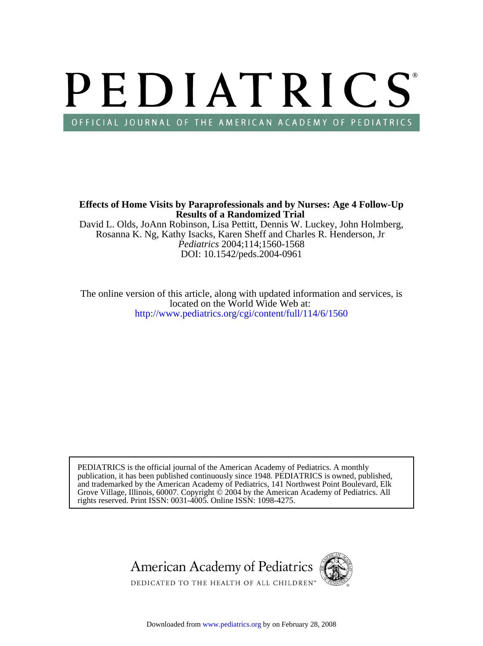# PEDIATRICS OFFICIAL JOURNAL OF THE AMERICAN ACADEMY OF PEDIATRICS

**Results of a Randomized Trial Effects of Home Visits by Paraprofessionals and by Nurses: Age 4 Follow-Up**

DOI: 10.1542/peds.2004-0961 *Pediatrics* 2004;114;1560-1568 Rosanna K. Ng, Kathy Isacks, Karen Sheff and Charles R. Henderson, Jr David L. Olds, JoAnn Robinson, Lisa Pettitt, Dennis W. Luckey, John Holmberg,

<http://www.pediatrics.org/cgi/content/full/114/6/1560> located on the World Wide Web at: The online version of this article, along with updated information and services, is

rights reserved. Print ISSN: 0031-4005. Online ISSN: 1098-4275. Grove Village, Illinois, 60007. Copyright  $\ddot{\odot}$  2004 by the American Academy of Pediatrics. All and trademarked by the American Academy of Pediatrics, 141 Northwest Point Boulevard, Elk publication, it has been published continuously since 1948. PEDIATRICS is owned, published, PEDIATRICS is the official journal of the American Academy of Pediatrics. A monthly

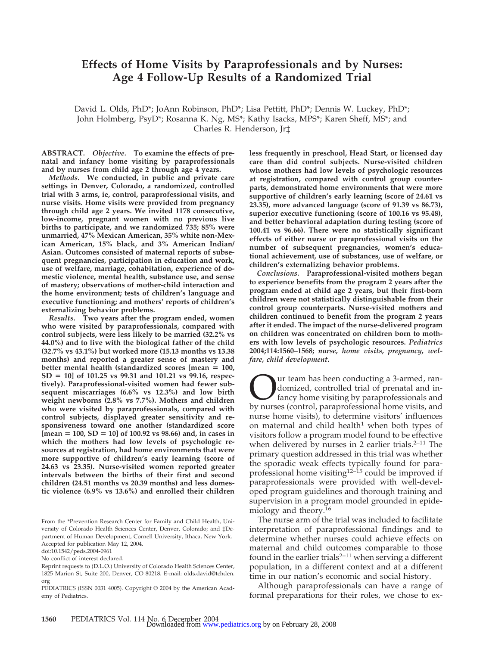# **Effects of Home Visits by Paraprofessionals and by Nurses: Age 4 Follow-Up Results of a Randomized Trial**

David L. Olds, PhD\*; JoAnn Robinson, PhD\*; Lisa Pettitt, PhD\*; Dennis W. Luckey, PhD\*; John Holmberg, PsyD\*; Rosanna K. Ng, MS\*; Kathy Isacks, MPS\*; Karen Sheff, MS\*; and Charles R. Henderson, Jr‡

**ABSTRACT.** *Objective.* **To examine the effects of prenatal and infancy home visiting by paraprofessionals and by nurses from child age 2 through age 4 years.**

*Methods.* **We conducted, in public and private care settings in Denver, Colorado, a randomized, controlled trial with 3 arms, ie, control, paraprofessional visits, and nurse visits. Home visits were provided from pregnancy through child age 2 years. We invited 1178 consecutive, low-income, pregnant women with no previous live births to participate, and we randomized 735; 85% were unmarried, 47% Mexican American, 35% white non-Mexican American, 15% black, and 3% American Indian/ Asian. Outcomes consisted of maternal reports of subsequent pregnancies, participation in education and work, use of welfare, marriage, cohabitation, experience of domestic violence, mental health, substance use, and sense of mastery; observations of mother-child interaction and the home environment; tests of children's language and executive functioning; and mothers' reports of children's externalizing behavior problems.**

*Results.* **Two years after the program ended, women who were visited by paraprofessionals, compared with control subjects, were less likely to be married (32.2% vs 44.0%) and to live with the biological father of the child (32.7% vs 43.1%) but worked more (15.13 months vs 13.38 months) and reported a greater sense of mastery and better mental health (standardized scores [mean 100, SD 10] of 101.25 vs 99.31 and 101.21 vs 99.16, respectively). Paraprofessional-visited women had fewer subsequent miscarriages (6.6% vs 12.3%) and low birth weight newborns (2.8% vs 7.7%). Mothers and children who were visited by paraprofessionals, compared with control subjects, displayed greater sensitivity and responsiveness toward one another (standardized score [mean 100, SD 10] of 100.92 vs 98.66) and, in cases in which the mothers had low levels of psychologic resources at registration, had home environments that were more supportive of children's early learning (score of 24.63 vs 23.35). Nurse-visited women reported greater intervals between the births of their first and second children (24.51 months vs 20.39 months) and less domestic violence (6.9% vs 13.6%) and enrolled their children**

From the \*Prevention Research Center for Family and Child Health, University of Colorado Health Sciences Center, Denver, Colorado; and ‡Department of Human Development, Cornell University, Ithaca, New York. Accepted for publication May 12, 2004.

doi:10.1542/peds.2004-0961

No conflict of interest declared.

**less frequently in preschool, Head Start, or licensed day care than did control subjects. Nurse-visited children whose mothers had low levels of psychologic resources at registration, compared with control group counterparts, demonstrated home environments that were more supportive of children's early learning (score of 24.61 vs 23.35), more advanced language (score of 91.39 vs 86.73), superior executive functioning (score of 100.16 vs 95.48), and better behavioral adaptation during testing (score of 100.41 vs 96.66). There were no statistically significant effects of either nurse or paraprofessional visits on the number of subsequent pregnancies, women's educational achievement, use of substances, use of welfare, or children's externalizing behavior problems.**

*Conclusions.* **Paraprofessional-visited mothers began to experience benefits from the program 2 years after the program ended at child age 2 years, but their first-born children were not statistically distinguishable from their control group counterparts. Nurse-visited mothers and children continued to benefit from the program 2 years after it ended. The impact of the nurse-delivered program on children was concentrated on children born to mothers with low levels of psychologic resources.** *Pediatrics* **2004;114:1560–1568;** *nurse, home visits, pregnancy, welfare, child development.*

Our team has been conducting a 3-armed, ran-<br>domized, controlled trial of prenatal and in-<br>fancy home visiting by paraprofessionals and<br>by nurses (control, paraprofessional home visits, and domized, controlled trial of prenatal and infancy home visiting by paraprofessionals and by nurses (control, paraprofessional home visits, and nurse home visits), to determine visitors' influences on maternal and child health<sup>1</sup> when both types of visitors follow a program model found to be effective when delivered by nurses in 2 earlier trials. $2-11$  The primary question addressed in this trial was whether the sporadic weak effects typically found for paraprofessional home visiting<sup>12–15</sup> could be improved if paraprofessionals were provided with well-developed program guidelines and thorough training and supervision in a program model grounded in epidemiology and theory.16

The nurse arm of the trial was included to facilitate interpretation of paraprofessional findings and to determine whether nurses could achieve effects on maternal and child outcomes comparable to those found in the earlier trials<sup>2–11</sup> when serving a different population, in a different context and at a different time in our nation's economic and social history.

Although paraprofessionals can have a range of formal preparations for their roles, we chose to ex-

Reprint requests to (D.L.O.) University of Colorado Health Sciences Center, 1825 Marion St, Suite 200, Denver, CO 80218. E-mail: olds.david@tchden. org

PEDIATRICS (ISSN 0031 4005). Copyright © 2004 by the American Academy of Pediatrics.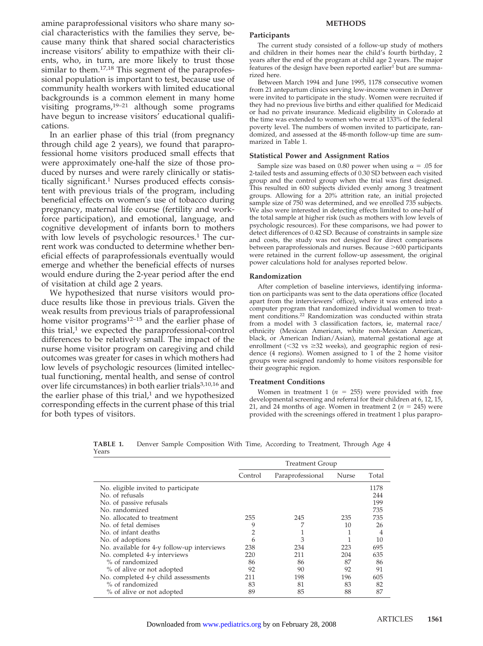amine paraprofessional visitors who share many social characteristics with the families they serve, because many think that shared social characteristics increase visitors' ability to empathize with their clients, who, in turn, are more likely to trust those similar to them.<sup>17,18</sup> This segment of the paraprofessional population is important to test, because use of community health workers with limited educational backgrounds is a common element in many home visiting programs,19–21 although some programs have begun to increase visitors' educational qualifications.

In an earlier phase of this trial (from pregnancy through child age 2 years), we found that paraprofessional home visitors produced small effects that were approximately one-half the size of those produced by nurses and were rarely clinically or statistically significant.<sup>1</sup> Nurses produced effects consistent with previous trials of the program, including beneficial effects on women's use of tobacco during pregnancy, maternal life course (fertility and workforce participation), and emotional, language, and cognitive development of infants born to mothers with low levels of psychologic resources.<sup>1</sup> The current work was conducted to determine whether beneficial effects of paraprofessionals eventually would emerge and whether the beneficial effects of nurses would endure during the 2-year period after the end of visitation at child age 2 years.

We hypothesized that nurse visitors would produce results like those in previous trials. Given the weak results from previous trials of paraprofessional home visitor programs $12-15$  and the earlier phase of this trial, $1$  we expected the paraprofessional-control differences to be relatively small. The impact of the nurse home visitor program on caregiving and child outcomes was greater for cases in which mothers had low levels of psychologic resources (limited intellectual functioning, mental health, and sense of control over life circumstances) in both earlier trials<sup>3,10,16</sup> and the earlier phase of this trial, $1$  and we hypothesized corresponding effects in the current phase of this trial for both types of visitors.

#### **METHODS**

#### **Participants**

The current study consisted of a follow-up study of mothers and children in their homes near the child's fourth birthday, 2 years after the end of the program at child age 2 years. The major features of the design have been reported earlier<sup>1</sup> but are summarized here.

Between March 1994 and June 1995, 1178 consecutive women from 21 antepartum clinics serving low-income women in Denver were invited to participate in the study. Women were recruited if they had no previous live births and either qualified for Medicaid or had no private insurance. Medicaid eligibility in Colorado at the time was extended to women who were at 133% of the federal poverty level. The numbers of women invited to participate, randomized, and assessed at the 48-month follow-up time are summarized in Table 1.

#### **Statistical Power and Assignment Ratios**

Sample size was based on 0.80 power when using  $\alpha = .05$  for 2-tailed tests and assuming effects of 0.30 SD between each visited group and the control group when the trial was first designed. This resulted in 600 subjects divided evenly among 3 treatment groups. Allowing for a 20% attrition rate, an initial projected sample size of 750 was determined, and we enrolled 735 subjects. We also were interested in detecting effects limited to one-half of the total sample at higher risk (such as mothers with low levels of psychologic resources). For these comparisons, we had power to detect differences of 0.42 SD. Because of constraints in sample size and costs, the study was not designed for direct comparisons between paraprofessionals and nurses. Because >600 participants were retained in the current follow-up assessment, the original power calculations hold for analyses reported below.

#### **Randomization**

After completion of baseline interviews, identifying information on participants was sent to the data operations office (located apart from the interviewers' office), where it was entered into a computer program that randomized individual women to treatment conditions.22 Randomization was conducted within strata from a model with 3 classification factors, ie, maternal race/ ethnicity (Mexican American, white non-Mexican American, black, or American Indian/Asian), maternal gestational age at enrollment ( $\leq$ 32 vs  $\geq$ 32 weeks), and geographic region of residence (4 regions). Women assigned to 1 of the 2 home visitor groups were assigned randomly to home visitors responsible for their geographic region.

#### **Treatment Conditions**

Women in treatment  $1$  ( $n = 255$ ) were provided with free developmental screening and referral for their children at 6, 12, 15, 21, and 24 months of age. Women in treatment 2 ( $n = 245$ ) were provided with the screenings offered in treatment 1 plus parapro-

**TABLE 1.** Denver Sample Composition With Time, According to Treatment, Through Age 4 Years

|                                            | <b>Treatment Group</b> |                  |       |       |  |  |
|--------------------------------------------|------------------------|------------------|-------|-------|--|--|
|                                            | Control                | Paraprofessional | Nurse | Total |  |  |
| No. eligible invited to participate        |                        |                  |       | 1178  |  |  |
| No. of refusals                            |                        |                  |       | 244   |  |  |
| No. of passive refusals                    |                        |                  |       | 199   |  |  |
| No. randomized                             |                        |                  |       | 735   |  |  |
| No. allocated to treatment                 | 255                    | 245              | 235   | 735   |  |  |
| No. of fetal demises                       | 9                      |                  | 10    | 26    |  |  |
| No. of infant deaths                       | 2                      |                  |       | 4     |  |  |
| No. of adoptions                           | 6                      | 3                |       | 10    |  |  |
| No. available for 4-y follow-up interviews | 238                    | 234              | 223   | 695   |  |  |
| No. completed 4-y interviews               | 220                    | 211              | 204   | 635   |  |  |
| % of randomized                            | 86                     | 86               | 87    | 86    |  |  |
| % of alive or not adopted                  | 92                     | 90               | 92    | 91    |  |  |
| No. completed 4-y child assessments        | 211                    | 198              | 196   | 605   |  |  |
| % of randomized                            | 83                     | 81               | 83    | 82    |  |  |
| % of alive or not adopted                  | 89                     | 85               | 88    | 87    |  |  |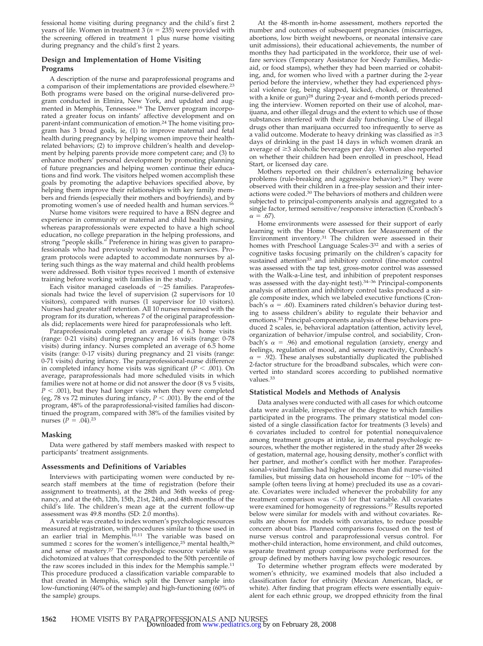fessional home visiting during pregnancy and the child's first 2 years of life. Women in treatment  $3(n = 235)$  were provided with the screening offered in treatment 1 plus nurse home visiting during pregnancy and the child's first 2 years.

#### **Design and Implementation of Home Visiting Programs**

A description of the nurse and paraprofessional programs and a comparison of their implementations are provided elsewhere.<sup>23</sup> Both programs were based on the original nurse-delivered program conducted in Elmira, New York, and updated and augmented in Memphis, Tennessee.<sup>16</sup> The Denver program incorporated a greater focus on infants' affective development and on parent-infant communication of emotion.24 The home visiting program has 3 broad goals, ie, (1) to improve maternal and fetal health during pregnancy by helping women improve their healthrelated behaviors; (2) to improve children's health and development by helping parents provide more competent care; and (3) to enhance mothers' personal development by promoting planning of future pregnancies and helping women continue their educations and find work. The visitors helped women accomplish these goals by promoting the adaptive behaviors specified above, by helping them improve their relationships with key family members and friends (especially their mothers and boyfriends), and by promoting women's use of needed health and human services.16

Nurse home visitors were required to have a BSN degree and experience in community or maternal and child health nursing, whereas paraprofessionals were expected to have a high school education, no college preparation in the helping professions, and strong "people skills." Preference in hiring was given to paraprofessionals who had previously worked in human services. Program protocols were adapted to accommodate nonnurses by altering such things as the way maternal and child health problems were addressed. Both visitor types received 1 month of extensive training before working with families in the study.

Each visitor managed caseloads of  $\sim$ 25 families. Paraprofessionals had twice the level of supervision (2 supervisors for 10 visitors), compared with nurses (1 supervisor for 10 visitors). Nurses had greater staff retention. All 10 nurses remained with the program for its duration, whereas 7 of the original paraprofessionals did; replacements were hired for paraprofessionals who left.

Paraprofessionals completed an average of 6.3 home visits (range: 0-21 visits) during pregnancy and 16 visits (range: 0-78 visits) during infancy. Nurses completed an average of 6.5 home visits (range: 0-17 visits) during pregnancy and 21 visits (range: 0-71 visits) during infancy. The paraprofessional-nurse difference in completed infancy home visits was significant ( $P < .001$ ). On average, paraprofessionals had more scheduled visits in which families were not at home or did not answer the door (8 vs 5 visits,  $P < .001$ ), but they had longer visits when they were completed (eg, 78 vs 72 minutes during infancy,  $P < .001$ ). By the end of the program, 48% of the paraprofessional-visited families had discontinued the program, compared with 38% of the families visited by nurses  $(P = .04)$ .<sup>23</sup>

#### **Masking**

Data were gathered by staff members masked with respect to participants' treatment assignments.

#### **Assessments and Definitions of Variables**

Interviews with participating women were conducted by research staff members at the time of registration (before their assignment to treatments), at the 28th and 36th weeks of pregnancy, and at the 6th, 12th, 15th, 21st, 24th, and 48th months of the child's life. The children's mean age at the current follow-up assessment was 49.8 months (SD: 2.0 months).

A variable was created to index women's psychologic resources measured at registration, with procedures similar to those used in an earlier trial in Memphis.<sup>10,11</sup> The variable was based on summed *z* scores for the women's intelligence,<sup>25</sup> mental health,<sup>26</sup> and sense of mastery.<sup>27</sup> The psychologic resource variable was dichotomized at values that corresponded to the 50th percentile of the raw scores included in this index for the Memphis sample.<sup>11</sup> This procedure produced a classification variable comparable to that created in Memphis, which split the Denver sample into low-functioning (40% of the sample) and high-functioning (60% of the sample) groups.

At the 48-month in-home assessment, mothers reported the number and outcomes of subsequent pregnancies (miscarriages, abortions, low birth weight newborns, or neonatal intensive care unit admissions), their educational achievements, the number of months they had participated in the workforce, their use of welfare services (Temporary Assistance for Needy Families, Medicaid, or food stamps), whether they had been married or cohabiting, and, for women who lived with a partner during the 2-year period before the interview, whether they had experienced physical violence (eg, being slapped, kicked, choked, or threatened with a knife or gun)<sup>28</sup> during 2-year and 6-month periods preceding the interview. Women reported on their use of alcohol, marijuana, and other illegal drugs and the extent to which use of those substances interfered with their daily functioning. Use of illegal drugs other than marijuana occurred too infrequently to serve as a valid outcome. Moderate to heavy drinking was classified as  $\geq$ 3 days of drinking in the past 14 days in which women drank an average of  $\geq$ 3 alcoholic beverages per day. Women also reported on whether their children had been enrolled in preschool, Head Start, or licensed day care.

Mothers reported on their children's externalizing behavior problems (rule-breaking and aggressive behavior).<sup>29</sup> They were observed with their children in a free-play session and their interactions were coded.<sup>30</sup> The behaviors of mothers and children were subjected to principal-components analysis and aggregated to a single factor, termed sensitive/responsive interaction (Cronbach's  $\alpha = .67$ ).

Home environments were assessed for their support of early learning with the Home Observation for Measurement of the Environment inventory.31 The children were assessed in their homes with Preschool Language Scales-3<sup>32</sup> and with a series of cognitive tasks focusing primarily on the children's capacity for sustained attention<sup>33</sup> and inhibitory control (fine-motor control was assessed with the tap test, gross-motor control was assessed with the Walk-a-Line test, and inhibition of prepotent responses was assessed with the day-night test).<sup>34-36</sup> Principal-components analysis of attention and inhibitory control tasks produced a single composite index, which we labeled executive functions (Cronbach's  $\alpha$  = .60). Examiners rated children's behavior during testing to assess children's ability to regulate their behavior and emotions.<sup>33</sup> Principal-components analysis of these behaviors produced 2 scales, ie, behavioral adaptation (attention, activity level, organization of behavior/impulse control, and sociability, Cronbach's  $\alpha$  = .96) and emotional regulation (anxiety, energy and feelings, regulation of mood, and sensory reactivity, Cronbach's  $\alpha$  = .92). These analyses substantially duplicated the published 2-factor structure for the broadband subscales, which were converted into standard scores according to published normative values.33

#### **Statistical Models and Methods of Analysis**

Data analyses were conducted with all cases for which outcome data were available, irrespective of the degree to which families participated in the programs. The primary statistical model consisted of a single classification factor for treatments (3 levels) and 6 covariates included to control for potential nonequivalence among treatment groups at intake, ie, maternal psychologic resources, whether the mother registered in the study after 28 weeks of gestation, maternal age, housing density, mother's conflict with her partner, and mother's conflict with her mother. Paraprofessional-visited families had higher incomes than did nurse-visited families, but missing data on household income for  $\sim$ 10% of the sample (often teens living at home) precluded its use as a covariate. Covariates were included whenever the probability for any treatment comparison was  $< 10$  for that variable. All covariates were examined for homogeneity of regressions.<sup>37</sup> Results reported below were similar for models with and without covariates. Results are shown for models with covariates, to reduce possible concern about bias. Planned comparisons focused on the test of nurse versus control and paraprofessional versus control. For mother-child interaction, home environment, and child outcomes, separate treatment group comparisons were performed for the group defined by mothers having low psychologic resources.

To determine whether program effects were moderated by women's ethnicity, we examined models that also included a classification factor for ethnicity (Mexican American, black, or white). After finding that program effects were essentially equivalent for each ethnic group, we dropped ethnicity from the final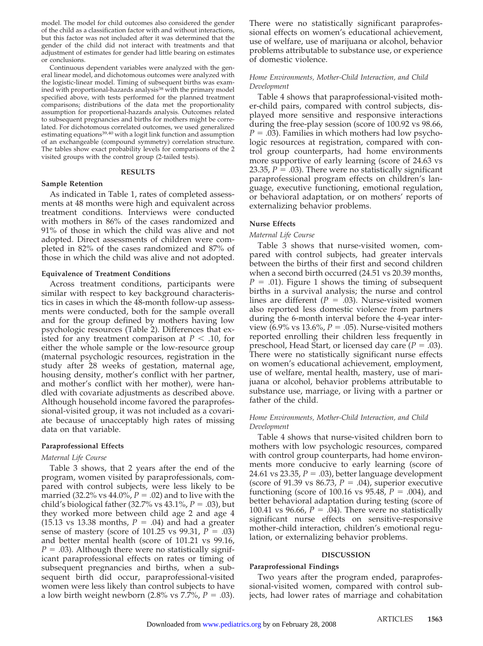model. The model for child outcomes also considered the gender of the child as a classification factor with and without interactions, but this factor was not included after it was determined that the gender of the child did not interact with treatments and that adjustment of estimates for gender had little bearing on estimates or conclusions.

Continuous dependent variables were analyzed with the general linear model, and dichotomous outcomes were analyzed with the logistic-linear model. Timing of subsequent births was examined with proportional-hazards analysis<sup>38</sup> with the primary model specified above, with tests performed for the planned treatment comparisons; distributions of the data met the proportionality assumption for proportional-hazards analysis. Outcomes related to subsequent pregnancies and births for mothers might be correlated. For dichotomous correlated outcomes, we used generalized estimating equations<sup>39,40</sup> with a logit link function and assumption of an exchangeable (compound symmetry) correlation structure. The tables show exact probability levels for comparisons of the 2 visited groups with the control group (2-tailed tests).

#### **RESULTS**

#### **Sample Retention**

As indicated in Table 1, rates of completed assessments at 48 months were high and equivalent across treatment conditions. Interviews were conducted with mothers in 86% of the cases randomized and 91% of those in which the child was alive and not adopted. Direct assessments of children were completed in 82% of the cases randomized and 87% of those in which the child was alive and not adopted.

#### **Equivalence of Treatment Conditions**

Across treatment conditions, participants were similar with respect to key background characteristics in cases in which the 48-month follow-up assessments were conducted, both for the sample overall and for the group defined by mothers having low psychologic resources (Table 2). Differences that existed for any treatment comparison at  $P < .10$ , for either the whole sample or the low-resource group (maternal psychologic resources, registration in the study after 28 weeks of gestation, maternal age, housing density, mother's conflict with her partner, and mother's conflict with her mother), were handled with covariate adjustments as described above. Although household income favored the paraprofessional-visited group, it was not included as a covariate because of unacceptably high rates of missing data on that variable.

#### **Paraprofessional Effects**

#### *Maternal Life Course*

Table 3 shows, that 2 years after the end of the program, women visited by paraprofessionals, compared with control subjects, were less likely to be married (32.2% vs  $44.0\%$ ,  $P = .02$ ) and to live with the child's biological father (32.7% vs 43.1%, *P* = .03), but they worked more between child age 2 and age 4  $(15.13 \text{ vs } 13.38 \text{ months}, P = .04)$  and had a greater sense of mastery (score of  $101.25$  vs  $99.31, P = .03$ ) and better mental health (score of 101.21 vs 99.16,  $P = .03$ ). Although there were no statistically significant paraprofessional effects on rates or timing of subsequent pregnancies and births, when a subsequent birth did occur, paraprofessional-visited women were less likely than control subjects to have a low birth weight newborn  $(2.8\% \text{ vs } 7.7\%, P = .03)$ . There were no statistically significant paraprofessional effects on women's educational achievement, use of welfare, use of marijuana or alcohol, behavior problems attributable to substance use, or experience of domestic violence.

#### *Home Environments, Mother-Child Interaction, and Child Development*

Table 4 shows that paraprofessional-visited mother-child pairs, compared with control subjects, displayed more sensitive and responsive interactions during the free-play session (score of 100.92 vs 98.66,  $P = .03$ ). Families in which mothers had low psychologic resources at registration, compared with control group counterparts, had home environments more supportive of early learning (score of 24.63 vs 23.35,  $P = .03$ ). There were no statistically significant paraprofessional program effects on children's language, executive functioning, emotional regulation, or behavioral adaptation, or on mothers' reports of externalizing behavior problems.

#### **Nurse Effects**

#### *Maternal Life Course*

Table 3 shows that nurse-visited women, compared with control subjects, had greater intervals between the births of their first and second children when a second birth occurred (24.51 vs 20.39 months,  $P = .01$ ). Figure 1 shows the timing of subsequent births in a survival analysis; the nurse and control lines are different ( $P = .03$ ). Nurse-visited women also reported less domestic violence from partners during the 6-month interval before the 4-year interview  $(6.9\% \text{ vs } 13.6\%, P = .05)$ . Nurse-visited mothers reported enrolling their children less frequently in preschool, Head Start, or licensed day care  $(P = .03)$ . There were no statistically significant nurse effects on women's educational achievement, employment, use of welfare, mental health, mastery, use of marijuana or alcohol, behavior problems attributable to substance use, marriage, or living with a partner or father of the child.

#### *Home Environments, Mother-Child Interaction, and Child Development*

Table 4 shows that nurse-visited children born to mothers with low psychologic resources, compared with control group counterparts, had home environments more conducive to early learning (score of 24.61 vs 23.35,  $P = .03$ ), better language development (score of 91.39 vs 86.73,  $P = .04$ ), superior executive functioning (score of 100.16 vs  $95.48$ ,  $P = .004$ ), and better behavioral adaptation during testing (score of 100.41 vs 96.66,  $P = .04$ ). There were no statistically significant nurse effects on sensitive-responsive mother-child interaction, children's emotional regulation, or externalizing behavior problems.

#### **DISCUSSION**

#### **Paraprofessional Findings**

Two years after the program ended, paraprofessional-visited women, compared with control subjects, had lower rates of marriage and cohabitation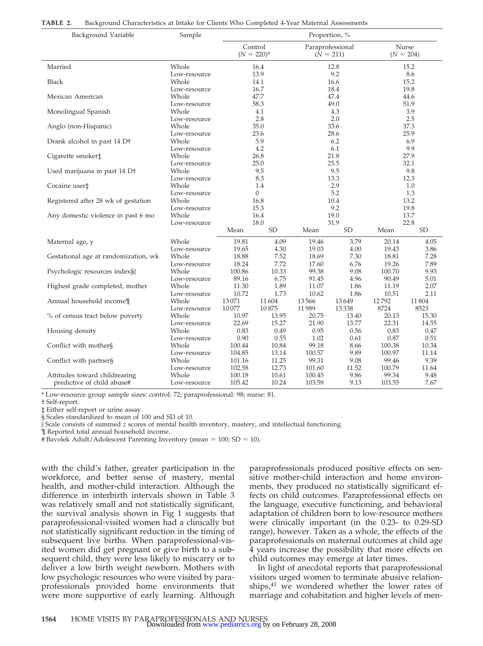| Background Variable                                         | Sample                | Proportion, %    |                            |                  |                                 |                 |                      |
|-------------------------------------------------------------|-----------------------|------------------|----------------------------|------------------|---------------------------------|-----------------|----------------------|
|                                                             |                       |                  | Control<br>$(N = 220)^{*}$ |                  | Paraprofessional<br>$(N = 211)$ |                 | Nurse<br>$(N = 204)$ |
| Married                                                     | Whole                 |                  | 16.4                       |                  | 12.8                            | 15.2            |                      |
|                                                             | Low-resource          |                  | 13.9                       |                  | 9.2                             |                 | 8.6                  |
| <b>Black</b>                                                | Whole                 |                  | 14.1                       |                  | 16.6                            |                 | 15.2                 |
| Mexican American                                            | Low-resource<br>Whole |                  | 16.7<br>47.7               |                  | 18.4<br>47.4                    |                 | 19.8<br>44.6         |
|                                                             | Low-resource          |                  | 58.3                       |                  | 49.0                            |                 | 51.9                 |
| Monolingual Spanish                                         | Whole                 |                  | 4.1                        |                  | 4.3                             |                 | 3.9                  |
|                                                             | Low-resource          |                  | 2.8                        |                  | 2.0                             |                 | 2.5                  |
| Anglo (non-Hispanic)                                        | Whole                 |                  | 35.0                       |                  | 33.6                            |                 | 37.3                 |
|                                                             | Low-resource          |                  | 23.6                       |                  | 28.6                            |                 | 25.9                 |
| Drank alcohol in past 14 D <sup>+</sup>                     | Whole                 |                  | 5.9<br>4.2                 |                  | 6.2<br>6.1                      |                 | 6.9<br>9.9           |
| Cigarette smoker‡                                           | Low-resource<br>Whole |                  | 26.8                       |                  | 21.8                            |                 | 27.9                 |
|                                                             | Low-resource          |                  | 25.0                       |                  | 25.5                            |                 | 32.1                 |
| Used marijuana in past 14 Dt                                | Whole                 |                  | 9.5                        |                  | 9.5                             |                 | 9.8                  |
|                                                             | Low-resource          |                  | 8.3                        |                  | 13.3                            |                 | 12.3                 |
| Cocaine user <sup>+</sup>                                   | Whole                 |                  | 1.4                        |                  | 2.9                             |                 | 1.0                  |
|                                                             | Low-resource          | $\mathbf{0}$     |                            | 5.2              |                                 | 1.3             |                      |
| Registered after 28 wk of gestation                         | Whole                 | 16.8             |                            | 10.4<br>9.2      |                                 | 13.2            |                      |
| Any domestic violence in past 6 mo                          | Low-resource<br>Whole | 15.3<br>16.4     |                            | 19.0             |                                 | 19.8<br>13.7    |                      |
|                                                             | Low-resource          | 18.0             |                            |                  | 31.9                            |                 | 22.8                 |
|                                                             |                       | Mean             | <b>SD</b>                  | Mean             | <b>SD</b>                       | Mean            | <b>SD</b>            |
| Maternal age, y                                             | Whole                 | 19.81            | 4.09                       | 19.46            | 3.79                            | 20.14           | 4.05                 |
|                                                             | Low-resource          | 19.65            | 4.30                       | 19.03            | 4.00                            | 19.43           | 3.86                 |
| Gestational age at randomization, wk                        | Whole                 | 18.88            | 7.52                       | 18.69            | 7.30                            | 18.81           | 7.28                 |
|                                                             | Low-resource          | 18.24            | 7.72                       | 17.60            | 6.76                            | 19.26           | 7.89                 |
| Psychologic resources index§                                | Whole                 | 100.86           | 10.33                      | 99.38            | 9.08                            | 100.70          | 9.93                 |
|                                                             | Low-resource          | 89.16            | 6.75                       | 91.45            | 4.96                            | 90.49           | 5.01                 |
| Highest grade completed, mother                             | Whole                 | 11.30            | 1.89                       | 11.07            | 1.86                            | 11.19           | 2.07                 |
|                                                             | Low-resource<br>Whole | 10.72            | 1.73                       | 10.62            | 1.86                            | 10.51<br>12792  | 2.11                 |
| Annual household income¶                                    | Low-resource          | 13071<br>10077   | 11604<br>10875             | 13566<br>11989   | 13649<br>13338                  | 8724            | 11804<br>8523        |
| % of census tract below poverty                             | Whole                 | 10.97            | 13.95                      | 20.75            | 13.40                           | 20.13           | 15.30                |
|                                                             | Low-resource          | 22.69            | 15.27                      | 21.90            | 13.77                           | 22.31           | 14.55                |
| Housing density                                             | Whole                 | 0.83             | 0.49                       | 0.95             | 0.56                            | 0.83            | 0.47                 |
|                                                             | Low-resource          | 0.90             | 0.55                       | 1.02             | 0.61                            | 0.87            | 0.51                 |
| Conflict with mother§                                       | Whole                 | 100.44           | 10.84                      | 99.18            | 8.66                            | 100.38          | 10.34                |
|                                                             | Low-resource          | 104.85           | 13.14                      | 100.57           | 9.89                            | 100.97          | 11.14                |
| Conflict with partner§                                      | Whole                 | 101.16           | 11.25                      | 99.31            | 9.08                            | 99.46           | 9.39                 |
|                                                             | Low-resource          | 102.58           | 12.73                      | 101.60           | 11.52<br>9.86                   | 100.79<br>99.34 | 11.64<br>9.48        |
| Attitudes toward childrearing<br>predictive of child abuse# | Whole<br>Low-resource | 100.18<br>105.42 | 10.61<br>10.24             | 100.45<br>103.59 | 9.13                            | 103.55          | 7.67                 |
|                                                             |                       |                  |                            |                  |                                 |                 |                      |

\* Low-resource group sample sizes: control: 72; paraprofessional: 98; nurse: 81.

† Self-report.

‡ Either self-report or urine assay.

§ Scales standardized to mean of 100 and SD of 10.

Scale consists of summed *z* scores of mental health inventory, mastery, and intellectual functioning.

¶ Reported total annual household income.

# Bavolek Adult/Adolescent Parenting Inventory (mean =  $100$ ; SD =  $10$ ).

with the child's father, greater participation in the workforce, and better sense of mastery, mental health, and mother-child interaction. Although the difference in interbirth intervals shown in Table 3 was relatively small and not statistically significant, the survival analysis shown in Fig 1 suggests that paraprofessional-visited women had a clinically but not statistically significant reduction in the timing of subsequent live births. When paraprofessional-visited women did get pregnant or give birth to a subsequent child, they were less likely to miscarry or to deliver a low birth weight newborn. Mothers with low psychologic resources who were visited by paraprofessionals provided home environments that were more supportive of early learning. Although

paraprofessionals produced positive effects on sensitive mother-child interaction and home environments, they produced no statistically significant effects on child outcomes. Paraprofessional effects on the language, executive functioning, and behavioral adaptation of children born to low-resource mothers were clinically important (in the 0.23- to 0.29-SD range), however. Taken as a whole, the effects of the paraprofessionals on maternal outcomes at child age 4 years increase the possibility that more effects on child outcomes may emerge at later times.

In light of anecdotal reports that paraprofessional visitors urged women to terminate abusive relationships, $41$  we wondered whether the lower rates of marriage and cohabitation and higher levels of men-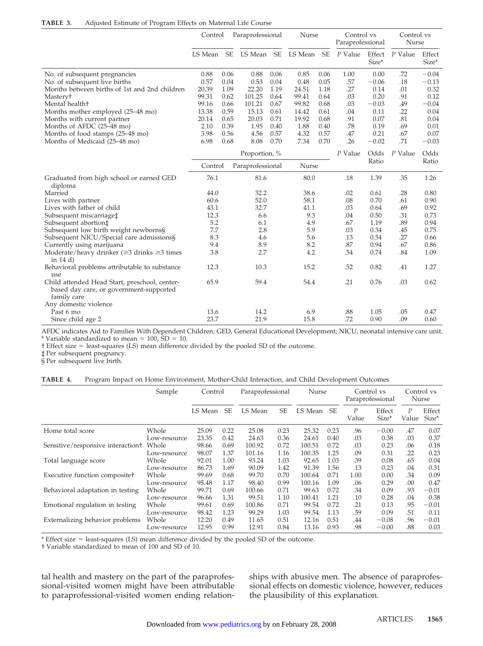| Adjusted Estimate of Program Effects on Maternal Life Course<br>TABLE 3. |  |  |  |
|--------------------------------------------------------------------------|--|--|--|
|--------------------------------------------------------------------------|--|--|--|

|                                                                                                         | Paraprofessional<br>Control |           |                  | Nurse     |                 | Control vs<br>Paraprofessional |         | Control vs<br>Nurse |         |                 |
|---------------------------------------------------------------------------------------------------------|-----------------------------|-----------|------------------|-----------|-----------------|--------------------------------|---------|---------------------|---------|-----------------|
|                                                                                                         | LS Mean                     | <b>SE</b> | LS Mean          | <b>SE</b> | LS Mean         | <b>SE</b>                      | P Value | Effect<br>Size*     | P Value | Effect<br>Size* |
| No. of subsequent pregnancies                                                                           | 0.88                        | 0.06      | 0.88             | 0.06      | 0.85            | 0.06                           | 1.00    | 0.00                | .72     | $-0.04$         |
| No. of subsequent live births                                                                           | 0.57                        | 0.04      | 0.53             | 0.04      | 0.48            | 0.05                           | .57     | $-0.06$             | .18     | $-0.13$         |
| Months between births of 1st and 2nd children                                                           | 20.39                       | 1.09      | 22.20            | 1.19      | 24.51           | 1.18                           | .27     | 0.14                | .01     | 0.32            |
| Mastery <sup>+</sup>                                                                                    | 99.31                       | 0.62      | 101.25           | 0.64      | 99.41           | 0.64                           | .03     | 0.20                | .91     | 0.12            |
| Mental health+                                                                                          | 99.16                       | 0.66      | 101.21           | 0.67      | 99.82           | 0.68                           | .03     | $-0.03$             | .49     | $-0.04$         |
| Months mother employed (25–48 mo)                                                                       | 13.38                       | 0.59      | 15.13            | 0.61      | 14.42           | 0.61                           | .04     | 0.11                | .22     | 0.04            |
| Months with current partner                                                                             | 20.14                       | 0.65      | 20.03            | 0.71      | 19.92           | 0.68                           | .91     | 0.07                | .81     | 0.04            |
| Months of AFDC (25–48 mo)                                                                               | 2.10                        | 0.39      | 1.95             | 0.40      | 1.88            | 0.40                           | .78     | 0.19                | .69     | 0.01            |
| Months of food stamps (25–48 mo)                                                                        | 3.98                        | 0.56      | 4.56             | 0.57      | 4.32            | 0.57                           | .47     | 0.21                | .67     | 0.07            |
| Months of Medicaid (25–48 mo)                                                                           | 6.98                        | 0.68      | 8.08             | 0.70      | 7.34            | 0.70                           | .26     | $-0.02$             | .71     | $-0.03$         |
|                                                                                                         | Proportion, %               |           |                  |           | P Value<br>Odds | P Value                        | Odds    |                     |         |                 |
|                                                                                                         | Control                     |           | Paraprofessional |           | Nurse           |                                |         | Ratio               |         | Ratio           |
| Graduated from high school or earned GED<br>diploma                                                     | 76.1                        |           | 81.6             |           | 80.0            |                                | .18     | 1.39                | .35     | 1.26            |
| Married                                                                                                 | 44.0                        |           | 32.2             |           | 38.6            |                                | .02     | 0.61                | .28     | 0.80            |
| Lives with partner                                                                                      | 60.6                        |           | 52.0             |           | 58.1            |                                | .08     | 0.70                | .61     | 0.90            |
| Lives with father of child                                                                              | 43.1                        |           | 32.7             |           | 41.1            |                                | .03     | 0.64                | .69     | 0.92            |
| Subsequent miscarriage <sup>+</sup>                                                                     | 12.3                        |           | 6.6              |           | 9.3             |                                | .04     | 0.50                | .31     | 0.73            |
| Subsequent abortion‡                                                                                    | 5.2                         |           | 6.1              |           | 4.9             |                                | .67     | 1.19                | .89     | 0.94            |
| Subsequent low birth weight newborns§                                                                   | 7.7                         |           | 2.8              |           | 5.9             |                                | .03     | 0.34                | .45     | 0.75            |
| Subsequent NICU/Special care admissions§                                                                | 8.3                         |           | 4.6              |           | 5.6             |                                | .13     | 0.54                | .27     | 0.66            |
| Currently using marijuana                                                                               | 9.4                         |           | 8.9              |           | 8.2             |                                | .87     | 0.94                | .67     | 0.86            |
| Moderate/heavy drinker ( $\geq$ 3 drinks $\geq$ 3 times                                                 | 3.8                         |           | 2.7              |           | 4.2             |                                | .54     | 0.74                | .84     | 1.09            |
| in $14$ d)                                                                                              |                             |           |                  |           |                 |                                |         |                     |         |                 |
| Behavioral problems attributable to substance<br>use                                                    | 12.3                        |           | 10.3             |           | 15.2            |                                | .52     | 0.82                | .41     | 1.27            |
| Child attended Head Start, preschool, center-<br>based day care, or government-supported<br>family care | 65.9                        |           | 59.4             |           | 54.4            |                                | .21     | 0.76                | .03     | 0.62            |
| Any domestic violence                                                                                   |                             |           |                  |           |                 |                                |         |                     |         |                 |
| Past 6 mo                                                                                               | 13.6                        |           | 14.2             |           | 6.9             |                                | .88     | 1.05                | .05     | 0.47            |
| Since child age 2                                                                                       | 23.7                        |           | 21.9             |           | 15.8            |                                | .72     | 0.90                | .09     | 0.60            |

AFDC indicates Aid to Families With Dependent Children; GED, General Educational Development; NICU, neonatal intensive care unit. \* Variable standardized to mean =  $100$ ,  $SD = 10$ .

† Effect size least-squares (LS) mean difference divided by the pooled SD of the outcome.

‡ Per subsequent pregnancy.

§ Per subsequent live birth.

| TABLE 4. |  |  | Program Impact on Home Environment, Mother-Child Interaction, and Child Development Outcomes |  |  |  |
|----------|--|--|----------------------------------------------------------------------------------------------|--|--|--|
|----------|--|--|----------------------------------------------------------------------------------------------|--|--|--|

|                                   | Sample       | Control |           | Paraprofessional |           | Nurse   |      | Control vs<br>Paraprofessional |                 | Control vs<br>Nurse |                 |
|-----------------------------------|--------------|---------|-----------|------------------|-----------|---------|------|--------------------------------|-----------------|---------------------|-----------------|
|                                   |              | LS Mean | <b>SE</b> | LS Mean          | <b>SE</b> | LS Mean | SE   | P<br>Value                     | Effect<br>Size* | P<br>Value          | Effect<br>Size* |
| Home total score                  | Whole        | 25.09   | 0.22      | 25.08            | 0.23      | 25.32   | 0.23 | .96                            | $-0.00$         | .47                 | 0.07            |
|                                   | Low-resource | 23.35   | 0.42      | 24.63            | 0.36      | 24.61   | 0.40 | .03                            | 0.38            | .03                 | 0.37            |
| Sensitive/responsive interaction+ | Whole        | 98.66   | 0.69      | 100.92           | 0.72      | 100.51  | 0.72 | .03                            | 0.23            | .06                 | 0.18            |
|                                   | Low-resource | 98.07   | 1.37      | 101.16           | 1.16      | 100.35  | 1.25 | .09                            | 0.31            | .22                 | 0.23            |
| Total language score              | Whole        | 92.01   | 1.00      | 93.24            | 1.03      | 92.65   | 1.03 | .39                            | 0.08            | .65                 | 0.04            |
|                                   | Low-resource | 86.73   | 1.69      | 90.09            | 1.42      | 91.39   | 1.56 | .13                            | 0.23            | .04                 | 0.31            |
| Executive function compositet     | Whole        | 99.69   | 0.68      | 99.70            | 0.70      | 100.64  | 0.71 | 1.00                           | 0.00            | .34                 | 0.09            |
|                                   | Low-resource | 95.48   | 1.17      | 98.40            | 0.99      | 100.16  | 1.09 | .06                            | 0.29            | .00                 | 0.47            |
| Behavioral adaptation in testing  | Whole        | 99.71   | 0.69      | 100.66           | 0.71      | 99.63   | 0.72 | .34                            | 0.09            | .93                 | $-0.01$         |
|                                   | Low-resource | 96.66   | 1.31      | 99.51            | 1.10      | 100.41  | 1.21 | .10                            | 0.28            | .04                 | 0.38            |
| Emotional regulation in testing   | Whole        | 99.61   | 0.69      | 100.86           | 0.71      | 99.54   | 0.72 | .21                            | 0.13            | .95                 | $-0.01$         |
|                                   | Low-resource | 98.42   | 1.23      | 99.29            | 1.03      | 99.54   | 1.13 | .59                            | 0.09            | .51                 | 0.11            |
| Externalizing behavior problems   | Whole        | 12.20   | 0.49      | 11.65            | 0.51      | 12.16   | 0.51 | .44                            | $-0.08$         | .96                 | $-0.01$         |
|                                   | Low-resource | 12.95   | 0.99      | 12.91            | 0.84      | 13.16   | 0.93 | .98                            | $-0.00$         | .88                 | 0.03            |

\* Effect size = least-squares (LS) mean difference divided by the pooled SD of the outcome.

† Variable standardized to mean of 100 and SD of 10.

tal health and mastery on the part of the paraprofessional-visited women might have been attributable to paraprofessional-visited women ending relationships with abusive men. The absence of paraprofessional effects on domestic violence, however, reduces the plausibility of this explanation.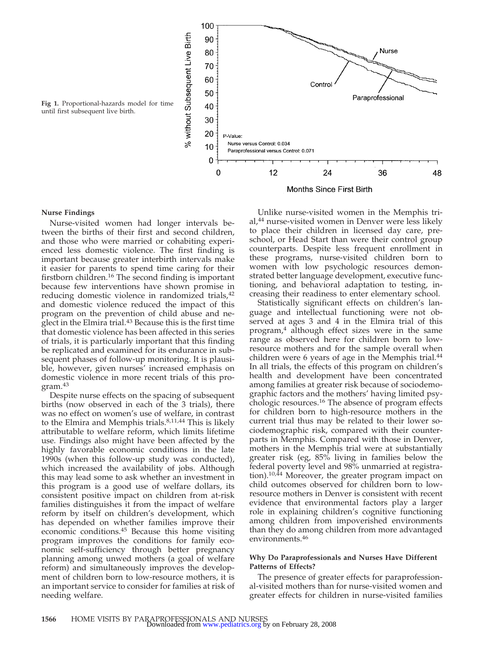

**Months Since First Birth** 

#### **Nurse Findings**

Nurse-visited women had longer intervals between the births of their first and second children, and those who were married or cohabiting experienced less domestic violence. The first finding is important because greater interbirth intervals make it easier for parents to spend time caring for their firstborn children.<sup>16</sup> The second finding is important because few interventions have shown promise in reducing domestic violence in randomized trials,<sup>42</sup> and domestic violence reduced the impact of this program on the prevention of child abuse and neglect in the Elmira trial.43 Because this is the first time that domestic violence has been affected in this series of trials, it is particularly important that this finding be replicated and examined for its endurance in subsequent phases of follow-up monitoring. It is plausible, however, given nurses' increased emphasis on domestic violence in more recent trials of this program.<sup>43</sup>

Despite nurse effects on the spacing of subsequent births (now observed in each of the 3 trials), there was no effect on women's use of welfare, in contrast to the Elmira and Memphis trials.<sup>8,11,44</sup> This is likely attributable to welfare reform, which limits lifetime use. Findings also might have been affected by the highly favorable economic conditions in the late 1990s (when this follow-up study was conducted), which increased the availability of jobs. Although this may lead some to ask whether an investment in this program is a good use of welfare dollars, its consistent positive impact on children from at-risk families distinguishes it from the impact of welfare reform by itself on children's development, which has depended on whether families improve their economic conditions.45 Because this home visiting program improves the conditions for family economic self-sufficiency through better pregnancy planning among unwed mothers (a goal of welfare reform) and simultaneously improves the development of children born to low-resource mothers, it is an important service to consider for families at risk of needing welfare.

Unlike nurse-visited women in the Memphis trial,<sup>44</sup> nurse-visited women in Denver were less likely to place their children in licensed day care, preschool, or Head Start than were their control group counterparts. Despite less frequent enrollment in these programs, nurse-visited children born to women with low psychologic resources demonstrated better language development, executive functioning, and behavioral adaptation to testing, increasing their readiness to enter elementary school.

Statistically significant effects on children's language and intellectual functioning were not observed at ages 3 and 4 in the Elmira trial of this program,<sup>4</sup> although effect sizes were in the same range as observed here for children born to lowresource mothers and for the sample overall when children were 6 years of age in the Memphis trial.<sup>44</sup> In all trials, the effects of this program on children's health and development have been concentrated among families at greater risk because of sociodemographic factors and the mothers' having limited psychologic resources.<sup>16</sup> The absence of program effects for children born to high-resource mothers in the current trial thus may be related to their lower sociodemographic risk, compared with their counterparts in Memphis. Compared with those in Denver, mothers in the Memphis trial were at substantially greater risk (eg, 85% living in families below the federal poverty level and 98% unmarried at registration). $10,44$  Moreover, the greater program impact on child outcomes observed for children born to lowresource mothers in Denver is consistent with recent evidence that environmental factors play a larger role in explaining children's cognitive functioning among children from impoverished environments than they do among children from more advantaged environments.46

#### **Why Do Paraprofessionals and Nurses Have Different Patterns of Effects?**

The presence of greater effects for paraprofessional-visited mothers than for nurse-visited women and greater effects for children in nurse-visited families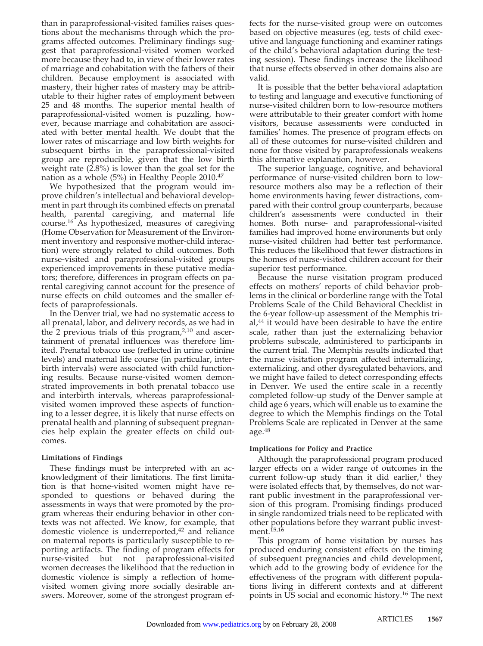than in paraprofessional-visited families raises questions about the mechanisms through which the programs affected outcomes. Preliminary findings suggest that paraprofessional-visited women worked more because they had to, in view of their lower rates of marriage and cohabitation with the fathers of their children. Because employment is associated with mastery, their higher rates of mastery may be attributable to their higher rates of employment between 25 and 48 months. The superior mental health of paraprofessional-visited women is puzzling, however, because marriage and cohabitation are associated with better mental health. We doubt that the lower rates of miscarriage and low birth weights for subsequent births in the paraprofessional-visited group are reproducible, given that the low birth weight rate (2.8%) is lower than the goal set for the nation as a whole (5%) in Healthy People 2010.47

We hypothesized that the program would improve children's intellectual and behavioral development in part through its combined effects on prenatal health, parental caregiving, and maternal life course.16 As hypothesized, measures of caregiving (Home Observation for Measurement of the Environment inventory and responsive mother-child interaction) were strongly related to child outcomes. Both nurse-visited and paraprofessional-visited groups experienced improvements in these putative mediators; therefore, differences in program effects on parental caregiving cannot account for the presence of nurse effects on child outcomes and the smaller effects of paraprofessionals.

In the Denver trial, we had no systematic access to all prenatal, labor, and delivery records, as we had in the 2 previous trials of this program, $2,10$  and ascertainment of prenatal influences was therefore limited. Prenatal tobacco use (reflected in urine cotinine levels) and maternal life course (in particular, interbirth intervals) were associated with child functioning results. Because nurse-visited women demonstrated improvements in both prenatal tobacco use and interbirth intervals, whereas paraprofessionalvisited women improved these aspects of functioning to a lesser degree, it is likely that nurse effects on prenatal health and planning of subsequent pregnancies help explain the greater effects on child outcomes.

## **Limitations of Findings**

These findings must be interpreted with an acknowledgment of their limitations. The first limitation is that home-visited women might have responded to questions or behaved during the assessments in ways that were promoted by the program whereas their enduring behavior in other contexts was not affected. We know, for example, that domestic violence is underreported,<sup>42</sup> and reliance on maternal reports is particularly susceptible to reporting artifacts. The finding of program effects for nurse-visited but not paraprofessional-visited women decreases the likelihood that the reduction in domestic violence is simply a reflection of homevisited women giving more socially desirable answers. Moreover, some of the strongest program effects for the nurse-visited group were on outcomes based on objective measures (eg, tests of child executive and language functioning and examiner ratings of the child's behavioral adaptation during the testing session). These findings increase the likelihood that nurse effects observed in other domains also are valid.

It is possible that the better behavioral adaptation to testing and language and executive functioning of nurse-visited children born to low-resource mothers were attributable to their greater comfort with home visitors, because assessments were conducted in families' homes. The presence of program effects on all of these outcomes for nurse-visited children and none for those visited by paraprofessionals weakens this alternative explanation, however.

The superior language, cognitive, and behavioral performance of nurse-visited children born to lowresource mothers also may be a reflection of their home environments having fewer distractions, compared with their control group counterparts, because children's assessments were conducted in their homes. Both nurse- and paraprofessional-visited families had improved home environments but only nurse-visited children had better test performance. This reduces the likelihood that fewer distractions in the homes of nurse-visited children account for their superior test performance.

Because the nurse visitation program produced effects on mothers' reports of child behavior problems in the clinical or borderline range with the Total Problems Scale of the Child Behavioral Checklist in the 6-year follow-up assessment of the Memphis tri $al<sub>1</sub><sup>44</sup>$  it would have been desirable to have the entire scale, rather than just the externalizing behavior problems subscale, administered to participants in the current trial. The Memphis results indicated that the nurse visitation program affected internalizing, externalizing, and other dysregulated behaviors, and we might have failed to detect corresponding effects in Denver. We used the entire scale in a recently completed follow-up study of the Denver sample at child age 6 years, which will enable us to examine the degree to which the Memphis findings on the Total Problems Scale are replicated in Denver at the same age.48

## **Implications for Policy and Practice**

Although the paraprofessional program produced larger effects on a wider range of outcomes in the current follow-up study than it did earlier, $<sup>1</sup>$  they</sup> were isolated effects that, by themselves, do not warrant public investment in the paraprofessional version of this program. Promising findings produced in single randomized trials need to be replicated with other populations before they warrant public investment.<sup>15,16</sup>

This program of home visitation by nurses has produced enduring consistent effects on the timing of subsequent pregnancies and child development, which add to the growing body of evidence for the effectiveness of the program with different populations living in different contexts and at different points in US social and economic history.16 The next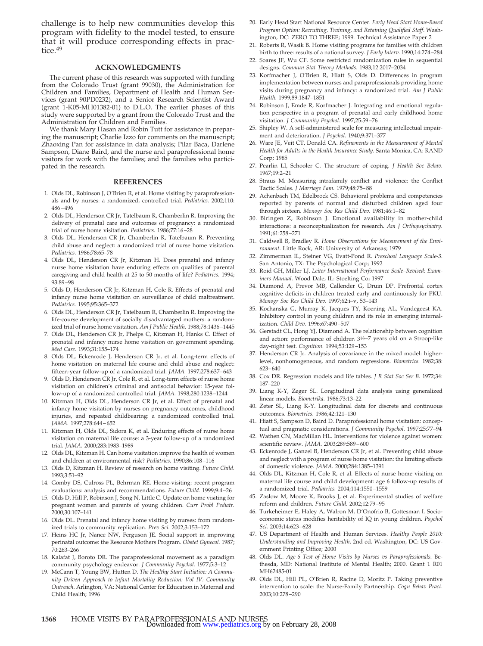challenge is to help new communities develop this program with fidelity to the model tested, to ensure that it will produce corresponding effects in practice.<sup>49</sup>

#### **ACKNOWLEDGMENTS**

The current phase of this research was supported with funding from the Colorado Trust (grant 99030), the Administration for Children and Families, Department of Health and Human Services (grant 90PD0232), and a Senior Research Scientist Award (grant 1-K05-MH01382-01) to D.L.O. The earlier phases of this study were supported by a grant from the Colorado Trust and the Administration for Children and Families.

We thank Mary Hasan and Robin Tutt for assistance in preparing the manuscript; Charlie Izzo for comments on the manuscript; Zhaoxing Pan for assistance in data analysis; Pilar Baca, Darlene Sampson, Diane Baird, and the nurse and paraprofessional home visitors for work with the families; and the families who participated in the research.

#### **REFERENCES**

- 1. Olds DL, Robinson J, O'Brien R, et al. Home visiting by paraprofessionals and by nurses: a randomized, controlled trial. *Pediatrics.* 2002;110: 486–496
- 2. Olds DL, Henderson CR Jr, Tatelbaum R, Chamberlin R. Improving the delivery of prenatal care and outcomes of pregnancy: a randomized trial of nurse home visitation. *Pediatrics.* 1986;77:16–28
- 3. Olds DL, Henderson CR Jr, Chamberlin R, Tatelbaum R. Preventing child abuse and neglect: a randomized trial of nurse home visitation. *Pediatrics.* 1986;78:65–78
- 4. Olds DL, Henderson CR Jr, Kitzman H. Does prenatal and infancy nurse home visitation have enduring effects on qualities of parental caregiving and child health at 25 to 50 months of life? *Pediatrics.* 1994; 93:89–98
- 5. Olds D, Henderson CR Jr, Kitzman H, Cole R. Effects of prenatal and infancy nurse home visitation on surveillance of child maltreatment. *Pediatrics.* 1995;95:365–372
- 6. Olds DL, Henderson CR Jr, Tatelbaum R, Chamberlin R. Improving the life-course development of socially disadvantaged mothers: a randomized trial of nurse home visitation. *Am J Public Health.* 1988;78:1436–1445
- 7. Olds DL, Henderson CR Jr, Phelps C, Kitzman H, Hanks C. Effect of prenatal and infancy nurse home visitation on government spending. *Med Care.* 1993;31:155–174
- 8. Olds DL, Eckenrode J, Henderson CR Jr, et al. Long-term effects of home visitation on maternal life course and child abuse and neglect: fifteen-year follow-up of a randomized trial. *JAMA.* 1997;278:637–643
- 9. Olds D, Henderson CR Jr, Cole R, et al. Long-term effects of nurse home visitation on children's criminal and antisocial behavior: 15-year follow-up of a randomized controlled trial. *JAMA.* 1998;280:1238–1244
- 10. Kitzman H, Olds DL, Henderson CR Jr, et al. Effect of prenatal and infancy home visitation by nurses on pregnancy outcomes, childhood injuries, and repeated childbearing: a randomized controlled trial. *JAMA.* 1997;278:644–652
- 11. Kitzman H, Olds DL, Sidora K, et al. Enduring effects of nurse home visitation on maternal life course: a 3-year follow-up of a randomized trial. *JAMA.* 2000;283:1983–1989
- 12. Olds DL, Kitzman H. Can home visitation improve the health of women and children at environmental risk? *Pediatrics.* 1990;86:108–116
- 13. Olds D, Kitzman H. Review of research on home visiting. *Future Child.* 1993;3:51–92
- 14. Gomby DS, Culross PL, Behrman RE. Home-visiting: recent program evaluations: analysis and recommendations. *Future Child.* 1999;9:4–26
- 15. Olds D, Hill P, Robinson J, Song N, Little C. Update on home visiting for pregnant women and parents of young children. *Curr Probl Pediatr.* 2000;30:107–141
- 16. Olds DL. Prenatal and infancy home visiting by nurses: from randomized trials to community replication. *Prev Sci.* 2002;3:153–172
- 17. Heins HC Jr, Nance NW, Ferguson JE. Social support in improving perinatal outcome: the Resource Mothers Program. *Obstet Gynecol.* 1987; 70:263–266
- 18. Kalafat J, Boroto DR. The paraprofessional movement as a paradigm community psychology endeavor. *J Community Psychol.* 1977;5:3–12
- 19. McCann T, Young BW, Hutten D. *The Healthy Start Initiative: A Community Driven Approach to Infant Mortality Reduction: Vol IV: Community Outreach*. Arlington, VA: National Center for Education in Maternal and Child Health; 1996
- 20. Early Head Start National Resource Center. *Early Head Start Home-Based Program Option: Recruiting, Training, and Retaining Qualified Staff*. Washington, DC: ZERO TO THREE; 1999. Technical Assistance Paper 2
- 21. Roberts R, Wasik B. Home visiting programs for families with children birth to three: results of a national survey. *J Early Interv.* 1990;14:274–284
- 22. Soares JF, Wu CF. Some restricted randomization rules in sequential designs. *Commun Stat Theory Methods.* 1983;12:2017–2034
- 23. Korfmacher J, O'Brien R, Hiatt S, Olds D. Differences in program implementation between nurses and paraprofessionals providing home visits during pregnancy and infancy: a randomized trial. *Am J Public Health.* 1999;89:1847–1851
- 24. Robinson J, Emde R, Korfmacher J. Integrating and emotional regulation perspective in a program of prenatal and early childhood home visitation. *J Community Psychol.* 1997;25:59–76
- 25. Shipley W. A self-administered scale for measuring intellectual impairment and deterioration. *J Psychol.* 1940;9:371–377
- 26. Ware JE, Veit CT, Donald CA. *Refinements in the Measurement of Mental Health for Adults in the Health Insurance Study*. Santa Monica, CA: RAND Corp; 1985
- 27. Pearlin LI, Schooler C. The structure of coping. *J Health Soc Behav.* 1967;19:2–21
- 28. Straus M. Measuring intrafamily conflict and violence: the Conflict Tactic Scales. *J Marriage Fam.* 1979;48:75–88
- 29. Achenbach TM, Edelbrock CS. Behavioral problems and competencies reported by parents of normal and disturbed children aged four through sixteen. *Monogr Soc Res Child Dev.* 1981;46:1–82
- 30. Biringen Z, Robinson J. Emotional availability in mother-child interactions: a reconceptualization for research. *Am J Orthopsychiatry.* 1991;61:258–271
- 31. Caldwell B, Bradley R. *Home Observations for Measurement of the Environment*. Little Rock, AR: University of Arkansas; 1979
- 32. Zimmerman IL, Steiner VG, Evatt-Pond R. *Preschool Language Scale-3*. San Antonio, TX: The Psychological Corp; 1992
- 33. Roid GH, Miller LJ. *Leiter International Performance Scale–Revised: Examiners Manual*. Wood Dale, IL: Stoelting Co; 1997
- 34. Diamond A, Prevor MB, Callender G, Druin DP. Prefrontal cortex cognitive deficits in children treated early and continuously for PKU. *Monogr Soc Res Child Dev.* 1997;62:i–v, 53–143
- 35. Kochanska G, Murray K, Jacques TY, Koening AL, Vandegeest KA. Inhibitory control in young children and its role in emerging internalization. *Child Dev.* 1996;67:490–507
- 36. Gerstadt CL, Hong YJ, Diamond A. The relationship between cognition and action: performance of children 31⁄2–7 years old on a Stroop-like day-night test. *Cognition.* 1994;53:129–153
- 37. Henderson CR Jr. Analysis of covariance in the mixed model: higherlevel, nonhomogeneous, and random regressions. *Biometrics.* 1982;38: 623–640
- 38. Cox DR. Regression models and life tables. *J R Stat Soc Ser B.* 1972;34: 187–220
- 39. Liang K-Y, Zeger SL. Longitudinal data analysis using generalized linear models. *Biometrika.* 1986;73:13–22
- 40. Zeter SL, Liang K-Y. Longitudinal data for discrete and continuous outcomes. *Biometrics.* 1986;42:121–130
- 41. Hiatt S, Sampson D, Baird D. Paraprofessional home visitation: conceptual and pragmatic considerations. *J Community Psychol.* 1997;25:77–94
- 42. Wathen CN, MacMillan HL. Interventions for violence against women: scientific review. *JAMA.* 2003;289:589–600
- 43. Eckenrode J, Ganzel B, Henderson CR Jr, et al. Preventing child abuse and neglect with a program of nurse home visitation: the limiting effects of domestic violence. *JAMA.* 2000;284:1385–1391
- 44. Olds DL, Kitzman H, Cole R, et al. Effects of nurse home visiting on maternal life course and child development: age 6 follow-up results of a randomized trial. *Pediatrics.* 2004;114:1550–1559
- 45. Zaslow M, Moore K, Brooks J, et al. Experimental studies of welfare reform and children. *Future Child.* 2002;12:79–95
- 46. Turkeheimer E, Haley A, Walron M, D'Onofrio B, Gottesman I. Socioeconomic status modifies heritability of IQ in young children. *Psychol Sci.* 2003;14:623–628
- 47. US Department of Health and Human Services. *Healthy People 2010: Understanding and Improving Health*. 2nd ed. Washington, DC: US Government Printing Office; 2000
- 48. Olds DL. *Age-6 Test of Home Visits by Nurses vs Paraprofessionals*. Bethesda, MD: National Institute of Mental Health; 2000. Grant 1 R01 MH62485-01
- 49. Olds DL, Hill PL, O'Brien R, Racine D, Moritz P. Taking preventive intervention to scale: the Nurse-Family Partnership. *Cogn Behav Pract.* 2003;10:278–290